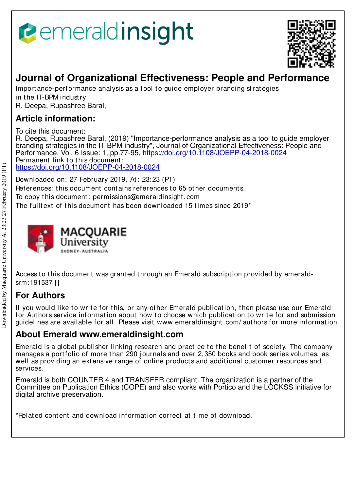# emeraldinsight



## **Journal of Organizational Effectiveness: People and Performance**

Importance-performance analysis as a tool to quide employer branding strategies in the IT-BPM industry

R. Deepa, Rupashree Baral,

## **Article information:**

To cite this document:

R. Deepa, Rupashree Baral, (2019) "Importance-performance analysis as a tool to guide employer branding strategies in the IT-BPM industry", Journal of Organizational Effectiveness: People and Performance, Vol. 6 Issue: 1, pp.77-95, https://doi.org/10.1108/JOEPP-04-2018-0024 Permanent link to this document: https://doi.org/10.1108/JOEPP-04-2018-0024

Downloaded on: 27 February 2019, At : 23:23 (PT) References: this document contains references to 65 other documents. To copy t his document : permissions@emeraldinsight .com The fulltext of this document has been downloaded 15 times since  $2019<sup>*</sup>$ 



Access to this document was granted through an Emerald subscription provided by emeraldsrm:191537 []

## **For Authors**

If you would like to write for this, or any other Emerald publication, then please use our Emerald for Authors service information about how to choose which publication to write for and submission guidelines are available for all. Please visit www.emeraldinsight .com/ aut hors for more informat ion.

## **About Emerald www.emeraldinsight.com**

Emerald is a global publisher linking research and practice to the benefit of society. The company manages a portfolio of more than 290 journals and over 2,350 books and book series volumes, as well as providing an extensive range of online products and additional customer resources and services.

Emerald is both COUNTER 4 and TRANSFER compliant. The organization is a partner of the Committee on Publication Ethics (COPE) and also works with Portico and the LOCKSS initiative for digital archive preservation.

\*Related content and download information correct at time of download.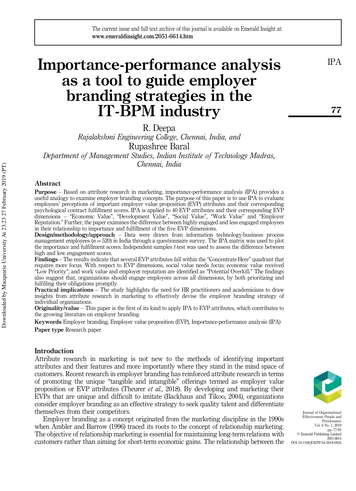## Importance-performance analysis as a tool to guide employer branding strategies in the IT-BPM industry

R. Deepa

Rajalakshmi Engineering College, Chennai, India, and Rupashree Baral

Department of Management Studies, Indian Institute of Technology Madras, Chennai, India

#### Abstract

Purpose – Based on attribute research in marketing, importance-performance analysis (IPA) provides a useful analogy to examine employer branding concepts. The purpose of this paper is to use IPA to evaluate employees' perceptions of important employer value proposition (EVP) attributes and their corresponding psychological contract fulfillment scores. IPA is applied to 40 EVP attributes and their corresponding EVP dimensions – "Economic Value", "Development Value", "Social Value", "Work Value" and "Employer Reputation." Further, the paper examines the difference between highly engaged and less engaged employees in their relationship to importance and fulfillment of the five EVP dimensions.

Design/methodology/approach – Data were drawn from information technology-business process management employees  $(n = 520)$  in India through a questionnaire survey. The IPA matrix was used to plot the importance and fulfillment scores. Independent samples t-test was used to assess the difference between high and low engagement scores.

Findings – The results indicate that several EVP attributes fall within the "Concentrate Here" quadrant that requires more focus. With respect to EVP dimensions, social value needs focus; economic value received "Low Priority"; and work value and employer reputation are identified as "Potential Overkill." The findings also suggest that, organizations should engage employees across all dimensions, by both prioritizing and fulfilling their obligations promptly.

Practical implications – The study highlights the need for HR practitioners and academicians to draw insights from attribute research in marketing to effectively devise the employer branding strategy of individual organizations.

Originality/value – This paper is the first of its kind to apply IPA to EVP attributes, which contributes to the growing literature on employer branding.

Keywords Employer branding, Employer value proposition (EVP), Importance-performance analysis (IPA) Paper type Research paper

#### Introduction

Attribute research in marketing is not new to the methods of identifying important attributes and their features and more importantly where they stand in the mind space of customers. Recent research in employer branding has reinforced attribute research in terms of promoting the unique "tangible and intangible" offerings termed as employer value proposition or EVP attributes (Theurer et al., 2018). By developing and marketing their EVPs that are unique and difficult to imitate (Backhaus and Tikoo, 2004), organizations consider employer branding as an effective strategy to seek quality talent and differentiate themselves from their competitors.

Employer branding as a concept originated from the marketing discipline in the 1990s when Ambler and Barrow (1996) traced its roots to the concept of relationship marketing. The objective of relationship marketing is essential for maintaining long-term relations with customers rather than aiming for short-term economic gains. The relationship between the



Journal of Organizational Effectiveness: People and Performance Vol. 6 No. 1, 2019 pp. 77-95 © Emerald Publishing Limited 2051-6614 DOI 10.1108/JOEPP-04-2018-0024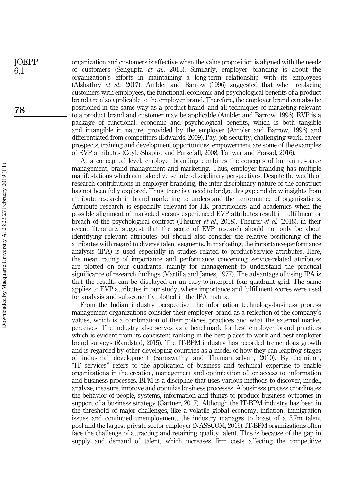organization and customers is effective when the value proposition is aligned with the needs of customers (Sengupta *et al.*, 2015). Similarly, employer branding is about the organization's efforts in maintaining a long-term relationship with its employees (Alshathry et al., 2017). Ambler and Barrow (1996) suggested that when replacing customers with employees, the functional, economic and psychological benefits of a product brand are also applicable to the employer brand. Therefore, the employer brand can also be positioned in the same way as a product brand, and all techniques of marketing relevant to a product brand and customer may be applicable (Ambler and Barrow, 1996). EVP is a package of functional, economic and psychological benefits, which is both tangible and intangible in nature, provided by the employer (Ambler and Barrow, 1996) and differentiated from competitors (Edwards, 2009). Pay, job security, challenging work, career prospects, training and development opportunities, empowerment are some of the examples of EVP attributes (Coyle-Shapiro and Parzefall, 2008; Tanwar and Prasad, 2016).

At a conceptual level, employer branding combines the concepts of human resource management, brand management and marketing. Thus, employer branding has multiple manifestations which can take diverse inter-disciplinary perspectives. Despite the wealth of research contributions in employer branding, the inter-disciplinary nature of the construct has not been fully explored. Thus, there is a need to bridge this gap and draw insights from attribute research in brand marketing to understand the performance of organizations. Attribute research is especially relevant for HR practitioners and academics when the possible alignment of marketed versus experienced EVP attributes result in fulfillment or breach of the psychological contract (Theurer et al., 2018). Theurer et al. (2018), in their recent literature, suggest that the scope of EVP research should not only be about identifying relevant attributes but should also consider the relative positioning of the attributes with regard to diverse talent segments. In marketing, the importance-performance analysis (IPA) is used especially in studies related to product/service attributes. Here, the mean rating of importance and performance concerning service-related attributes are plotted on four quadrants, mainly for management to understand the practical significance of research findings (Martilla and James, 1977). The advantage of using IPA is that the results can be displayed on an easy-to-interpret four-quadrant grid. The same applies to EVP attributes in our study, where importance and fulfillment scores were used for analysis and subsequently plotted in the IPA matrix.

From the Indian industry perspective, the information technology-business process management organizations consider their employer brand as a reflection of the company's values, which is a combination of their policies, practices and what the external market perceives. The industry also serves as a benchmark for best employer brand practices which is evident from its consistent ranking in the best places to work and best employer brand surveys (Randstad, 2015). The IT-BPM industry has recorded tremendous growth and is regarded by other developing countries as a model of how they can leapfrog stages of industrial development (Saraswathy and Thamaraiselvan, 2010). By definition, "IT services" refers to the application of business and technical expertise to enable organizations in the creation, management and optimization of, or access to, information and business processes. BPM is a discipline that uses various methods to discover, model, analyze, measure, improve and optimize business processes. A business process coordinates the behavior of people, systems, information and things to produce business outcomes in support of a business strategy (Gartner, 2017). Although the IT-BPM industry has been in the threshold of major challenges, like a volatile global economy, inflation, immigration issues and continued unemployment, the industry manages to boast of a 3.7m talent pool and the largest private sector employer (NASSCOM, 2016). IT-BPM organizations often face the challenge of attracting and retaining quality talent. This is because of the gap in supply and demand of talent, which increases firm costs affecting the competitive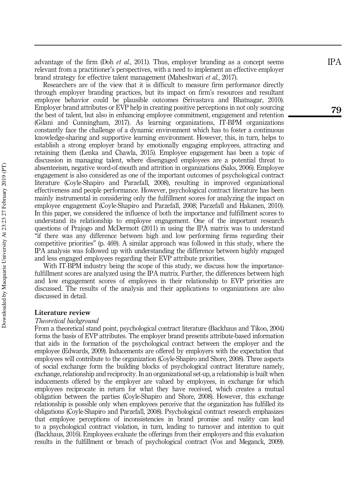advantage of the firm (Doh *et al.*, 2011). Thus, employer branding as a concept seems relevant from a practitioner 's perspectives, with a need to implement an effective employer brand strategy for effective talent management (Maheshwari et al., 2017).

Researchers are of the view that it is difficult to measure firm performance directly through employer branding practices, but its impact on firm 's resources and resultant employee behavior could be plausible outcomes (Srivastava and Bhatnagar, 2010). Employer brand attributes or EVP help in creating positive perceptions in not only sourcing the best of talent, but also in enhancing employee commitment, engagement and retention (Gilani and Cunningham, 2017). As learning organizations, IT-BPM organizations constantly face the challenge of a dynamic environment which has to foster a continuous knowledge-sharing and supportive learning environment. However, this, in turn, helps to establish a strong employer brand by emotionally engaging employees, attracting and retaining them (Lenka and Chawla, 2015). Employee engagement has been a topic of discussion in managing talent, where disengaged employees are a potential threat to absenteeism, negative word-of-mouth and attrition in organizations (Saks, 2006). Employee engagement is also considered as one of the important outcomes of psychological contract literature (Coyle-Shapiro and Parzefall, 2008), resulting in improved organizational effectiveness and people performance. However, psychological contract literature has been mainly instrumental in considering only the fulfillment scores for analyzing the impact on employee engagement (Coyle-Shapiro and Parzefall, 2008; Parzefall and Hakanen, 2010). In this paper, we considered the influence of both the importance and fulfillment scores to understand its relationship to employee engagement. One of the important research questions of Prajogo and McDermott (2011) in using the IPA matrix was to understand "if there was any difference between high and low performing firms regarding their competitive priorities " (p. 469). A similar approach was followed in this study, where the IPA analysis was followed up with understanding the difference between highly engaged and less engaged employees regarding their EVP attribute priorities.

With IT-BPM industry being the scope of this study, we discuss how the importancefulfillment scores are analyzed using the IPA matrix. Further, the differences between high and low engagement scores of employees in their relationship to EVP priorities are discussed. The results of the analysis and their applications to organizations are also discussed in detail.

#### Literature review

#### Theoretical background

From a theoretical stand point, psychological contract literature (Backhaus and Tikoo, 2004) forms the basis of EVP attributes. The employer brand presents attribute-based information that aids in the formation of the psychological contract between the employer and the employee (Edwards, 2009). Inducements are offered by employers with the expectation that employees will contribute to the organization (Coyle-Shapiro and Shore, 2008). Three aspects of social exchange form the building blocks of psychological contract literature namely, exchange, relationship and reciprocity. In an organizational set-up, a relationship is built when inducements offered by the employer are valued by employees, in exchange for which employees reciprocate in return for what they have received, which creates a mutual obligation between the parties (Coyle-Shapiro and Shore, 2008). However, this exchange relationship is possible only when employees perceive that the organization has fulfilled its obligations (Coyle-Shapiro and Parzefall, 2008). Psychological contract research emphasizes that employee perceptions of inconsistencies in brand promise and reality can lead to a psychological contract violation, in turn, leading to turnover and intention to quit (Backhaus, 2016). Employees evaluate the offerings from their employers and this evaluation results in the fulfillment or breach of psychological contract (Vos and Meganck, 2009). IPA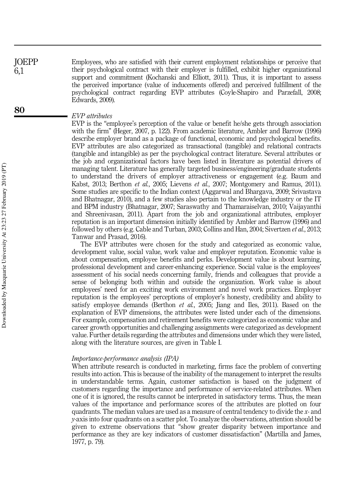Employees, who are satisfied with their current employment relationships or perceive that their psychological contract with their employer is fulfilled, exhibit higher organizational support and commitment (Kochanski and Elliott, 2011). Thus, it is important to assess the perceived importance (value of inducements offered) and perceived fulfillment of the psychological contract regarding EVP attributes (Coyle-Shapiro and Parzefall, 2008; Edwards, 2009). JOEPP 6,1

#### EVP attributes

EVP is the "employee's perception of the value or benefit he/she gets through association with the firm" (Heger, 2007, p. 122). From academic literature, Ambler and Barrow (1996) describe employer brand as a package of functional, economic and psychological benefits. EVP attributes are also categorized as transactional (tangible) and relational contracts (tangible and intangible) as per the psychological contract literature. Several attributes or the job and organizational factors have been listed in literature as potential drivers of managing talent. Literature has generally targeted business/engineering/graduate students to understand the drivers of employer attractiveness or engagement (e.g. Baum and Kabst, 2013; Berthon et al., 2005; Lievens et al., 2007; Montgomery and Ramus, 2011). Some studies are specific to the Indian context (Aggarwal and Bhargava, 2009; Srivastava and Bhatnagar, 2010), and a few studies also pertain to the knowledge industry or the IT and BPM industry (Bhatnagar, 2007; Saraswathy and Thamaraiselvan, 2010; Vaijayanthi and Shreenivasan, 2011). Apart from the job and organizational attributes, employer reputation is an important dimension initially identified by Ambler and Barrow (1996) and followed by others (e.g. Cable and Turban, 2003; Collins and Han, 2004; Sivertzen et al., 2013; Tanwar and Prasad, 2016).

The EVP attributes were chosen for the study and categorized as economic value, development value, social value, work value and employer reputation. Economic value is about compensation, employee benefits and perks. Development value is about learning, professional development and career-enhancing experience. Social value is the employees' assessment of his social needs concerning family, friends and colleagues that provide a sense of belonging both within and outside the organization. Work value is about employees' need for an exciting work environment and novel work practices. Employer reputation is the employees' perceptions of employer's honesty, credibility and ability to satisfy employee demands (Berthon *et al.*, 2005; Jiang and Iles, 2011). Based on the explanation of EVP dimensions, the attributes were listed under each of the dimensions. For example, compensation and retirement benefits were categorized as economic value and career growth opportunities and challenging assignments were categorized as development value. Further details regarding the attributes and dimensions under which they were listed, along with the literature sources, are given in Table I.

#### Importance-performance analysis (IPA)

When attribute research is conducted in marketing, firms face the problem of converting results into action. This is because of the inability of the management to interpret the results in understandable terms. Again, customer satisfaction is based on the judgment of customers regarding the importance and performance of service-related attributes. When one of it is ignored, the results cannot be interpreted in satisfactory terms. Thus, the mean values of the importance and performance scores of the attributes are plotted on four quadrants. The median values are used as a measure of central tendency to divide the  $x$ - and y-axis into four quadrants on a scatter plot. To analyze the observations, attention should be given to extreme observations that "show greater disparity between importance and performance as they are key indicators of customer dissatisfaction" (Martilla and James, 1977, p. 79).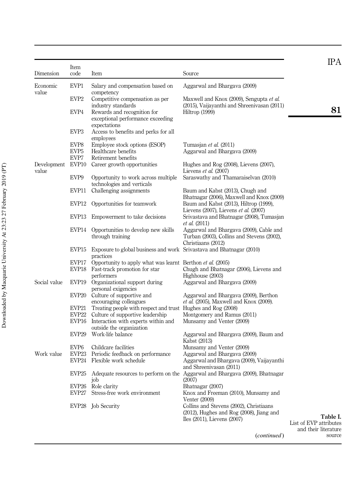| EVP1<br>Economic<br>Salary and compensation based on<br>Aggarwal and Bhargava (2009)<br>value<br>competency<br>EVP <sub>2</sub><br>Competitive compensation as per<br>Maxwell and Knox (2009), Sengupta et al.<br>industry standards<br>(2015), Vaijayanthi and Shreenivasan (2011)<br>EVP4<br>Rewards and recognition for<br>Hiltrop (1999)<br>exceptional performance exceeding<br>expectations<br>EVP <sub>3</sub><br>Access to benefits and perks for all<br>employees<br>EVP8<br>Employee stock options (ESOP)<br>Tumasjan et al. (2011)<br>EVP <sub>5</sub><br>Healthcare benefits<br>Aggarwal and Bhargava (2009)<br>EVP7<br>Retirement benefits<br>EVP10<br>Development<br>Career growth opportunities<br>Hughes and Rog (2008), Lievens (2007),<br>value<br>Lievens et al. (2007)<br>EVP9<br>Saraswathy and Thamaraiselvan (2010)<br>Opportunity to work across multiple<br>technologies and verticals<br>EVP11<br>Challenging assignments<br>Baum and Kabst (2013), Chugh and<br>Bhatnagar (2006), Maxwell and Knox (2009)<br>EVP12<br>Baum and Kabst (2013), Hiltrop (1999),<br>Opportunities for teamwork<br>Lievens (2007), Lievens et al. (2007)<br>Srivastava and Bhatnagar (2008), Tumasjan<br>EVP13<br>Empowerment to take decisions<br><i>et al.</i> (2011)<br>EVP14 Opportunities to develop new skills<br>Aggarwal and Bhargava (2009), Cable and<br>Turban (2003), Collins and Stevens (2002),<br>through training<br>Christiaans (2012)<br>EVP15<br>Exposure to global business and work Srivastava and Bhatnagar (2010)<br>practices<br>EVP17<br>Opportunity to apply what was learnt Berthon <i>et al.</i> (2005)<br>EVP18<br>Fast-track promotion for star<br>Chugh and Bhatnagar (2006), Lievens and<br>performers<br>Highhouse (2003)<br>Social value<br>EVP19<br>Organizational support during<br>Aggarwal and Bhargaya (2009)<br>personal exigencies<br>Culture of supportive and<br>EVP20<br>Aggarwal and Bhargava (2009), Berthon<br>encouraging colleagues<br><i>et al.</i> (2005), Maxwell and Knox (2009).<br>EVP21<br>Treating people with respect and trust Hughes and Rog (2008)<br>EVP22<br>Culture of supportive leadership<br>Montgomery and Ramus (2011)<br>EVP16<br>Interaction with experts within and<br>Munsamy and Venter (2009)<br>outside the organization<br>EVP <sub>29</sub><br>Work-life balance<br>Aggarwal and Bhargava (2009), Baum and<br>Kabst (2013)<br>EVP <sub>6</sub><br>Childcare facilities<br>Munsamy and Venter (2009)<br>EVP <sub>23</sub><br>Periodic feedback on performance<br>Aggarwal and Bhargava (2009)<br>Work value<br>EVP24<br>Flexible work schedule<br>Aggarwal and Bhargava (2009), Vaijayanthi<br>and Shreenivasan (2011)<br>EVP <sub>25</sub><br>Adequate resources to perform on the Aggarwal and Bhargava (2009), Bhatnagar<br>job<br>(2007)<br>EVP <sub>26</sub><br>Role clarity<br>Bhatnagar (2007)<br>EVP27<br>Knox and Freeman (2010), Munsamy and<br>Stress-free work environment<br>Venter (2009)<br>EVP28 Job Security<br>Collins and Stevens (2002), Christiaans<br>$(2012)$ , Hughes and Rog $(2008)$ , Jiang and<br>Iles (2011), Lievens (2007) | Dimension | Item<br>code | Item | Source | <b>IPA</b> |
|----------------------------------------------------------------------------------------------------------------------------------------------------------------------------------------------------------------------------------------------------------------------------------------------------------------------------------------------------------------------------------------------------------------------------------------------------------------------------------------------------------------------------------------------------------------------------------------------------------------------------------------------------------------------------------------------------------------------------------------------------------------------------------------------------------------------------------------------------------------------------------------------------------------------------------------------------------------------------------------------------------------------------------------------------------------------------------------------------------------------------------------------------------------------------------------------------------------------------------------------------------------------------------------------------------------------------------------------------------------------------------------------------------------------------------------------------------------------------------------------------------------------------------------------------------------------------------------------------------------------------------------------------------------------------------------------------------------------------------------------------------------------------------------------------------------------------------------------------------------------------------------------------------------------------------------------------------------------------------------------------------------------------------------------------------------------------------------------------------------------------------------------------------------------------------------------------------------------------------------------------------------------------------------------------------------------------------------------------------------------------------------------------------------------------------------------------------------------------------------------------------------------------------------------------------------------------------------------------------------------------------------------------------------------------------------------------------------------------------------------------------------------------------------------------------------------------------------------------------------------------------------------------------------------------------------------------------------------------------------------------------------------------------------------------------------------------------------------------------------------------------------------|-----------|--------------|------|--------|------------|
| 81<br>Table I.<br>List of EVP attributes<br>and their literature                                                                                                                                                                                                                                                                                                                                                                                                                                                                                                                                                                                                                                                                                                                                                                                                                                                                                                                                                                                                                                                                                                                                                                                                                                                                                                                                                                                                                                                                                                                                                                                                                                                                                                                                                                                                                                                                                                                                                                                                                                                                                                                                                                                                                                                                                                                                                                                                                                                                                                                                                                                                                                                                                                                                                                                                                                                                                                                                                                                                                                                                             |           |              |      |        |            |
|                                                                                                                                                                                                                                                                                                                                                                                                                                                                                                                                                                                                                                                                                                                                                                                                                                                                                                                                                                                                                                                                                                                                                                                                                                                                                                                                                                                                                                                                                                                                                                                                                                                                                                                                                                                                                                                                                                                                                                                                                                                                                                                                                                                                                                                                                                                                                                                                                                                                                                                                                                                                                                                                                                                                                                                                                                                                                                                                                                                                                                                                                                                                              |           |              |      |        |            |
|                                                                                                                                                                                                                                                                                                                                                                                                                                                                                                                                                                                                                                                                                                                                                                                                                                                                                                                                                                                                                                                                                                                                                                                                                                                                                                                                                                                                                                                                                                                                                                                                                                                                                                                                                                                                                                                                                                                                                                                                                                                                                                                                                                                                                                                                                                                                                                                                                                                                                                                                                                                                                                                                                                                                                                                                                                                                                                                                                                                                                                                                                                                                              |           |              |      |        |            |
|                                                                                                                                                                                                                                                                                                                                                                                                                                                                                                                                                                                                                                                                                                                                                                                                                                                                                                                                                                                                                                                                                                                                                                                                                                                                                                                                                                                                                                                                                                                                                                                                                                                                                                                                                                                                                                                                                                                                                                                                                                                                                                                                                                                                                                                                                                                                                                                                                                                                                                                                                                                                                                                                                                                                                                                                                                                                                                                                                                                                                                                                                                                                              |           |              |      |        |            |
|                                                                                                                                                                                                                                                                                                                                                                                                                                                                                                                                                                                                                                                                                                                                                                                                                                                                                                                                                                                                                                                                                                                                                                                                                                                                                                                                                                                                                                                                                                                                                                                                                                                                                                                                                                                                                                                                                                                                                                                                                                                                                                                                                                                                                                                                                                                                                                                                                                                                                                                                                                                                                                                                                                                                                                                                                                                                                                                                                                                                                                                                                                                                              |           |              |      |        |            |
|                                                                                                                                                                                                                                                                                                                                                                                                                                                                                                                                                                                                                                                                                                                                                                                                                                                                                                                                                                                                                                                                                                                                                                                                                                                                                                                                                                                                                                                                                                                                                                                                                                                                                                                                                                                                                                                                                                                                                                                                                                                                                                                                                                                                                                                                                                                                                                                                                                                                                                                                                                                                                                                                                                                                                                                                                                                                                                                                                                                                                                                                                                                                              |           |              |      |        |            |
|                                                                                                                                                                                                                                                                                                                                                                                                                                                                                                                                                                                                                                                                                                                                                                                                                                                                                                                                                                                                                                                                                                                                                                                                                                                                                                                                                                                                                                                                                                                                                                                                                                                                                                                                                                                                                                                                                                                                                                                                                                                                                                                                                                                                                                                                                                                                                                                                                                                                                                                                                                                                                                                                                                                                                                                                                                                                                                                                                                                                                                                                                                                                              |           |              |      |        |            |
|                                                                                                                                                                                                                                                                                                                                                                                                                                                                                                                                                                                                                                                                                                                                                                                                                                                                                                                                                                                                                                                                                                                                                                                                                                                                                                                                                                                                                                                                                                                                                                                                                                                                                                                                                                                                                                                                                                                                                                                                                                                                                                                                                                                                                                                                                                                                                                                                                                                                                                                                                                                                                                                                                                                                                                                                                                                                                                                                                                                                                                                                                                                                              |           |              |      |        |            |
|                                                                                                                                                                                                                                                                                                                                                                                                                                                                                                                                                                                                                                                                                                                                                                                                                                                                                                                                                                                                                                                                                                                                                                                                                                                                                                                                                                                                                                                                                                                                                                                                                                                                                                                                                                                                                                                                                                                                                                                                                                                                                                                                                                                                                                                                                                                                                                                                                                                                                                                                                                                                                                                                                                                                                                                                                                                                                                                                                                                                                                                                                                                                              |           |              |      |        |            |
|                                                                                                                                                                                                                                                                                                                                                                                                                                                                                                                                                                                                                                                                                                                                                                                                                                                                                                                                                                                                                                                                                                                                                                                                                                                                                                                                                                                                                                                                                                                                                                                                                                                                                                                                                                                                                                                                                                                                                                                                                                                                                                                                                                                                                                                                                                                                                                                                                                                                                                                                                                                                                                                                                                                                                                                                                                                                                                                                                                                                                                                                                                                                              |           |              |      |        |            |
|                                                                                                                                                                                                                                                                                                                                                                                                                                                                                                                                                                                                                                                                                                                                                                                                                                                                                                                                                                                                                                                                                                                                                                                                                                                                                                                                                                                                                                                                                                                                                                                                                                                                                                                                                                                                                                                                                                                                                                                                                                                                                                                                                                                                                                                                                                                                                                                                                                                                                                                                                                                                                                                                                                                                                                                                                                                                                                                                                                                                                                                                                                                                              |           |              |      |        |            |
|                                                                                                                                                                                                                                                                                                                                                                                                                                                                                                                                                                                                                                                                                                                                                                                                                                                                                                                                                                                                                                                                                                                                                                                                                                                                                                                                                                                                                                                                                                                                                                                                                                                                                                                                                                                                                                                                                                                                                                                                                                                                                                                                                                                                                                                                                                                                                                                                                                                                                                                                                                                                                                                                                                                                                                                                                                                                                                                                                                                                                                                                                                                                              |           |              |      |        |            |
|                                                                                                                                                                                                                                                                                                                                                                                                                                                                                                                                                                                                                                                                                                                                                                                                                                                                                                                                                                                                                                                                                                                                                                                                                                                                                                                                                                                                                                                                                                                                                                                                                                                                                                                                                                                                                                                                                                                                                                                                                                                                                                                                                                                                                                                                                                                                                                                                                                                                                                                                                                                                                                                                                                                                                                                                                                                                                                                                                                                                                                                                                                                                              |           |              |      |        |            |
|                                                                                                                                                                                                                                                                                                                                                                                                                                                                                                                                                                                                                                                                                                                                                                                                                                                                                                                                                                                                                                                                                                                                                                                                                                                                                                                                                                                                                                                                                                                                                                                                                                                                                                                                                                                                                                                                                                                                                                                                                                                                                                                                                                                                                                                                                                                                                                                                                                                                                                                                                                                                                                                                                                                                                                                                                                                                                                                                                                                                                                                                                                                                              |           |              |      |        |            |
|                                                                                                                                                                                                                                                                                                                                                                                                                                                                                                                                                                                                                                                                                                                                                                                                                                                                                                                                                                                                                                                                                                                                                                                                                                                                                                                                                                                                                                                                                                                                                                                                                                                                                                                                                                                                                                                                                                                                                                                                                                                                                                                                                                                                                                                                                                                                                                                                                                                                                                                                                                                                                                                                                                                                                                                                                                                                                                                                                                                                                                                                                                                                              |           |              |      |        |            |
|                                                                                                                                                                                                                                                                                                                                                                                                                                                                                                                                                                                                                                                                                                                                                                                                                                                                                                                                                                                                                                                                                                                                                                                                                                                                                                                                                                                                                                                                                                                                                                                                                                                                                                                                                                                                                                                                                                                                                                                                                                                                                                                                                                                                                                                                                                                                                                                                                                                                                                                                                                                                                                                                                                                                                                                                                                                                                                                                                                                                                                                                                                                                              |           |              |      |        |            |
|                                                                                                                                                                                                                                                                                                                                                                                                                                                                                                                                                                                                                                                                                                                                                                                                                                                                                                                                                                                                                                                                                                                                                                                                                                                                                                                                                                                                                                                                                                                                                                                                                                                                                                                                                                                                                                                                                                                                                                                                                                                                                                                                                                                                                                                                                                                                                                                                                                                                                                                                                                                                                                                                                                                                                                                                                                                                                                                                                                                                                                                                                                                                              |           |              |      |        |            |
|                                                                                                                                                                                                                                                                                                                                                                                                                                                                                                                                                                                                                                                                                                                                                                                                                                                                                                                                                                                                                                                                                                                                                                                                                                                                                                                                                                                                                                                                                                                                                                                                                                                                                                                                                                                                                                                                                                                                                                                                                                                                                                                                                                                                                                                                                                                                                                                                                                                                                                                                                                                                                                                                                                                                                                                                                                                                                                                                                                                                                                                                                                                                              |           |              |      |        |            |
|                                                                                                                                                                                                                                                                                                                                                                                                                                                                                                                                                                                                                                                                                                                                                                                                                                                                                                                                                                                                                                                                                                                                                                                                                                                                                                                                                                                                                                                                                                                                                                                                                                                                                                                                                                                                                                                                                                                                                                                                                                                                                                                                                                                                                                                                                                                                                                                                                                                                                                                                                                                                                                                                                                                                                                                                                                                                                                                                                                                                                                                                                                                                              |           |              |      |        |            |
|                                                                                                                                                                                                                                                                                                                                                                                                                                                                                                                                                                                                                                                                                                                                                                                                                                                                                                                                                                                                                                                                                                                                                                                                                                                                                                                                                                                                                                                                                                                                                                                                                                                                                                                                                                                                                                                                                                                                                                                                                                                                                                                                                                                                                                                                                                                                                                                                                                                                                                                                                                                                                                                                                                                                                                                                                                                                                                                                                                                                                                                                                                                                              |           |              |      |        |            |
|                                                                                                                                                                                                                                                                                                                                                                                                                                                                                                                                                                                                                                                                                                                                                                                                                                                                                                                                                                                                                                                                                                                                                                                                                                                                                                                                                                                                                                                                                                                                                                                                                                                                                                                                                                                                                                                                                                                                                                                                                                                                                                                                                                                                                                                                                                                                                                                                                                                                                                                                                                                                                                                                                                                                                                                                                                                                                                                                                                                                                                                                                                                                              |           |              |      |        |            |
|                                                                                                                                                                                                                                                                                                                                                                                                                                                                                                                                                                                                                                                                                                                                                                                                                                                                                                                                                                                                                                                                                                                                                                                                                                                                                                                                                                                                                                                                                                                                                                                                                                                                                                                                                                                                                                                                                                                                                                                                                                                                                                                                                                                                                                                                                                                                                                                                                                                                                                                                                                                                                                                                                                                                                                                                                                                                                                                                                                                                                                                                                                                                              |           |              |      |        |            |
|                                                                                                                                                                                                                                                                                                                                                                                                                                                                                                                                                                                                                                                                                                                                                                                                                                                                                                                                                                                                                                                                                                                                                                                                                                                                                                                                                                                                                                                                                                                                                                                                                                                                                                                                                                                                                                                                                                                                                                                                                                                                                                                                                                                                                                                                                                                                                                                                                                                                                                                                                                                                                                                                                                                                                                                                                                                                                                                                                                                                                                                                                                                                              |           |              |      |        |            |
|                                                                                                                                                                                                                                                                                                                                                                                                                                                                                                                                                                                                                                                                                                                                                                                                                                                                                                                                                                                                                                                                                                                                                                                                                                                                                                                                                                                                                                                                                                                                                                                                                                                                                                                                                                                                                                                                                                                                                                                                                                                                                                                                                                                                                                                                                                                                                                                                                                                                                                                                                                                                                                                                                                                                                                                                                                                                                                                                                                                                                                                                                                                                              |           |              |      |        |            |
|                                                                                                                                                                                                                                                                                                                                                                                                                                                                                                                                                                                                                                                                                                                                                                                                                                                                                                                                                                                                                                                                                                                                                                                                                                                                                                                                                                                                                                                                                                                                                                                                                                                                                                                                                                                                                                                                                                                                                                                                                                                                                                                                                                                                                                                                                                                                                                                                                                                                                                                                                                                                                                                                                                                                                                                                                                                                                                                                                                                                                                                                                                                                              |           |              |      |        |            |
|                                                                                                                                                                                                                                                                                                                                                                                                                                                                                                                                                                                                                                                                                                                                                                                                                                                                                                                                                                                                                                                                                                                                                                                                                                                                                                                                                                                                                                                                                                                                                                                                                                                                                                                                                                                                                                                                                                                                                                                                                                                                                                                                                                                                                                                                                                                                                                                                                                                                                                                                                                                                                                                                                                                                                                                                                                                                                                                                                                                                                                                                                                                                              |           |              |      |        |            |
|                                                                                                                                                                                                                                                                                                                                                                                                                                                                                                                                                                                                                                                                                                                                                                                                                                                                                                                                                                                                                                                                                                                                                                                                                                                                                                                                                                                                                                                                                                                                                                                                                                                                                                                                                                                                                                                                                                                                                                                                                                                                                                                                                                                                                                                                                                                                                                                                                                                                                                                                                                                                                                                                                                                                                                                                                                                                                                                                                                                                                                                                                                                                              |           |              |      |        |            |
|                                                                                                                                                                                                                                                                                                                                                                                                                                                                                                                                                                                                                                                                                                                                                                                                                                                                                                                                                                                                                                                                                                                                                                                                                                                                                                                                                                                                                                                                                                                                                                                                                                                                                                                                                                                                                                                                                                                                                                                                                                                                                                                                                                                                                                                                                                                                                                                                                                                                                                                                                                                                                                                                                                                                                                                                                                                                                                                                                                                                                                                                                                                                              |           |              |      |        |            |
|                                                                                                                                                                                                                                                                                                                                                                                                                                                                                                                                                                                                                                                                                                                                                                                                                                                                                                                                                                                                                                                                                                                                                                                                                                                                                                                                                                                                                                                                                                                                                                                                                                                                                                                                                                                                                                                                                                                                                                                                                                                                                                                                                                                                                                                                                                                                                                                                                                                                                                                                                                                                                                                                                                                                                                                                                                                                                                                                                                                                                                                                                                                                              |           |              |      |        |            |
|                                                                                                                                                                                                                                                                                                                                                                                                                                                                                                                                                                                                                                                                                                                                                                                                                                                                                                                                                                                                                                                                                                                                                                                                                                                                                                                                                                                                                                                                                                                                                                                                                                                                                                                                                                                                                                                                                                                                                                                                                                                                                                                                                                                                                                                                                                                                                                                                                                                                                                                                                                                                                                                                                                                                                                                                                                                                                                                                                                                                                                                                                                                                              |           |              |      |        |            |
|                                                                                                                                                                                                                                                                                                                                                                                                                                                                                                                                                                                                                                                                                                                                                                                                                                                                                                                                                                                                                                                                                                                                                                                                                                                                                                                                                                                                                                                                                                                                                                                                                                                                                                                                                                                                                                                                                                                                                                                                                                                                                                                                                                                                                                                                                                                                                                                                                                                                                                                                                                                                                                                                                                                                                                                                                                                                                                                                                                                                                                                                                                                                              |           |              |      |        |            |

(continued )

source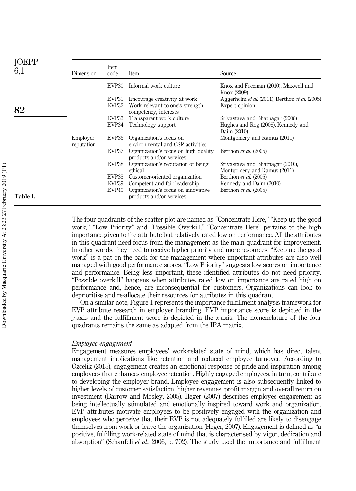| <b>JOEPP</b> | Dimension              | Item<br>code      | Item                                                             | Source                                                          |
|--------------|------------------------|-------------------|------------------------------------------------------------------|-----------------------------------------------------------------|
|              |                        | EVP30             | Informal work culture                                            | Knox and Freeman (2010), Maxwell and<br>Knox (2009)             |
|              |                        | EVP31             | Encourage creativity at work                                     | Aggerholm <i>et al.</i> (2011), Berthon <i>et al.</i> (2005)    |
| 82           |                        | EVP32             | Work relevant to one's strength,<br>competency, interests        | Expert opinion                                                  |
|              |                        | EVP33             | Transparent work culture                                         | Srivastava and Bhatnagar (2008)                                 |
|              |                        | EVP34             | Technology support                                               | Hughes and Rog (2008), Kennedy and<br>Daim (2010)               |
|              | Employer<br>reputation | EVP36             | Organization's focus on<br>environmental and CSR activities      | Montgomery and Ramus (2011)                                     |
|              |                        | EVP37             | Organization's focus on high quality<br>products and/or services | Berthon et al. (2005)                                           |
|              |                        | EVP38             | Organization's reputation of being<br>ethical                    | Srivastava and Bhatnagar (2010),<br>Montgomery and Ramus (2011) |
|              |                        | EVP35             | Customer-oriented organization                                   | Berthon <i>et al.</i> (2005)                                    |
|              |                        | EVP39             | Competent and fair leadership                                    | Kennedy and Daim (2010)                                         |
| Table I.     |                        | EVP <sub>40</sub> | Organization's focus on innovative<br>products and/or services   | Berthon <i>et al.</i> (2005)                                    |
|              |                        |                   |                                                                  |                                                                 |

The four quadrants of the scatter plot are named as "Concentrate Here," "Keep up the good work," "Low Priority" and "Possible Overkill." "Concentrate Here" pertains to the high importance given to the attribute but relatively rated low on performance. All the attributes in this quadrant need focus from the management as the main quadrant for improvement. In other words, they need to receive higher priority and more resources. "Keep up the good work" is a pat on the back for the management where important attributes are also well managed with good performance scores. "Low Priority" suggests low scores on importance and performance. Being less important, these identified attributes do not need priority. "Possible overkill" happens when attributes rated low on importance are rated high on performance and, hence, are inconsequential for customers. Organizations can look to deprioritize and re-allocate their resources for attributes in this quadrant.

On a similar note, Figure 1 represents the importance-fulfillment analysis framework for EVP attribute research in employer branding. EVP importance score is depicted in the y-axis and the fulfillment score is depicted in the x-axis. The nomenclature of the four quadrants remains the same as adapted from the IPA matrix.

#### Employee engagement

Engagement measures employees' work-related state of mind, which has direct talent management implications like retention and reduced employee turnover. According to Özçelik (2015), engagement creates an emotional response of pride and inspiration among employees that enhances employee retention. Highly engaged employees, in turn, contribute to developing the employer brand. Employee engagement is also subsequently linked to higher levels of customer satisfaction, higher revenues, profit margin and overall return on investment (Barrow and Mosley, 2005). Heger (2007) describes employee engagement as being intellectually stimulated and emotionally inspired toward work and organization. EVP attributes motivate employees to be positively engaged with the organization and employees who perceive that their EVP is not adequately fulfilled are likely to disengage themselves from work or leave the organization (Heger, 2007). Engagement is defined as "a positive, fulfilling work-related state of mind that is characterised by vigor, dedication and absorption" (Schaufeli et al., 2006, p. 702). The study used the importance and fulfillment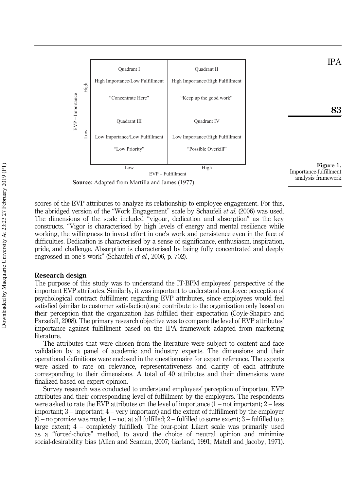



83

IPA

**Source:** Adapted from Martilla and James (1977)

scores of the EVP attributes to analyze its relationship to employee engagement. For this, the abridged version of the "Work Engagement" scale by Schaufeli et al. (2006) was used. The dimensions of the scale included "vigour, dedication and absorption" as the key constructs. "Vigor is characterised by high levels of energy and mental resilience while working, the willingness to invest effort in one's work and persistence even in the face of difficulties. Dedication is characterised by a sense of significance, enthusiasm, inspiration, pride, and challenge. Absorption is characterised by being fully concentrated and deeply engrossed in one's work" (Schaufeli et al., 2006, p. 702).

#### Research design

The purpose of this study was to understand the IT-BPM employees' perspective of the important EVP attributes. Similarly, it was important to understand employee perception of psychological contract fulfillment regarding EVP attributes, since employees would feel satisfied (similar to customer satisfaction) and contribute to the organization only based on their perception that the organization has fulfilled their expectation (Coyle-Shapiro and Parzefall, 2008). The primary research objective was to compare the level of EVP attributes' importance against fulfillment based on the IPA framework adapted from marketing literature.

The attributes that were chosen from the literature were subject to content and face validation by a panel of academic and industry experts. The dimensions and their operational definitions were enclosed in the questionnaire for expert reference. The experts were asked to rate on relevance, representativeness and clarity of each attribute corresponding to their dimensions. A total of 40 attributes and their dimensions were finalized based on expert opinion.

Survey research was conducted to understand employees' perception of important EVP attributes and their corresponding level of fulfillment by the employers. The respondents were asked to rate the EVP attributes on the level of importance  $(1 - not important; 2 - less$ important; 3 – important; 4 – very important) and the extent of fulfillment by the employer  $(0 - no$  promise was made;  $1 - not$  at all fulfilled;  $2 -$  fulfilled to some extent;  $3 -$  fulfilled to a large extent; 4 – completely fulfilled). The four-point Likert scale was primarily used as a "forced-choice" method, to avoid the choice of neutral opinion and minimize social-desirability bias (Allen and Seaman, 2007; Garland, 1991; Matell and Jacoby, 1971).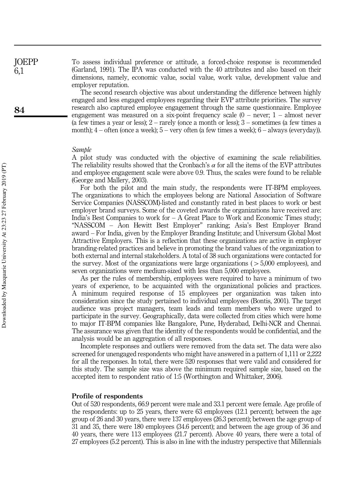To assess individual preference or attitude, a forced-choice response is recommended (Garland, 1991). The IPA was conducted with the 40 attributes and also based on their dimensions, namely, economic value, social value, work value, development value and employer reputation.

The second research objective was about understanding the difference between highly engaged and less engaged employees regarding their EVP attribute priorities. The survey research also captured employee engagement through the same questionnaire. Employee engagement was measured on a six-point frequency scale  $(0 -$  never;  $1 -$  almost never (a few times a year or less); 2 – rarely (once a month or less); 3 – sometimes (a few times a month);  $4$  – often (once a week);  $5$  – very often (a few times a week);  $6$  – always (everyday)).

#### Sample

A pilot study was conducted with the objective of examining the scale reliabilities. The reliability results showed that the Cronbach's  $\alpha$  for all the items of the EVP attributes and employee engagement scale were above 0.9. Thus, the scales were found to be reliable (George and Mallery, 2003).

For both the pilot and the main study, the respondents were IT-BPM employees. The organizations to which the employees belong are National Association of Software Service Companies (NASSCOM)-listed and constantly rated in best places to work or best employer brand surveys. Some of the coveted awards the organizations have received are: India's Best Companies to work for – A Great Place to Work and Economic Times study; "NASSCOM – Aon Hewitt Best Employer" ranking; Asia's Best Employer Brand award – For India, given by the Employer Branding Institute; and Universum Global Most Attractive Employers. This is a reflection that these organizations are active in employer branding-related practices and believe in promoting the brand values of the organization to both external and internal stakeholders. A total of 38 such organizations were contacted for the survey. Most of the organizations were large organizations ( $> 5,000$  employees), and seven organizations were medium-sized with less than 5,000 employees.

As per the rules of membership, employees were required to have a minimum of two years of experience, to be acquainted with the organizational policies and practices. A minimum required response of 15 employees per organization was taken into consideration since the study pertained to individual employees (Bontis, 2001). The target audience was project managers, team leads and team members who were urged to participate in the survey. Geographically, data were collected from cities which were home to major IT-BPM companies like Bangalore, Pune, Hyderabad, Delhi-NCR and Chennai. The assurance was given that the identity of the respondents would be confidential, and the analysis would be an aggregation of all responses.

Incomplete responses and outliers were removed from the data set. The data were also screened for unengaged respondents who might have answered in a pattern of 1,111 or 2,222 for all the responses. In total, there were 520 responses that were valid and considered for this study. The sample size was above the minimum required sample size, based on the accepted item to respondent ratio of 1:5 (Worthington and Whittaker, 2006).

#### Profile of respondents

Out of 520 respondents, 66.9 percent were male and 33.1 percent were female. Age profile of the respondents: up to 25 years, there were 63 employees (12.1 percent); between the age group of 26 and 30 years, there were 137 employees (26.3 percent); between the age group of 31 and 35, there were 180 employees (34.6 percent); and between the age group of 36 and 40 years, there were 113 employees (21.7 percent). Above 40 years, there were a total of 27 employees (5.2 percent). This is also in line with the industry perspective that Millennials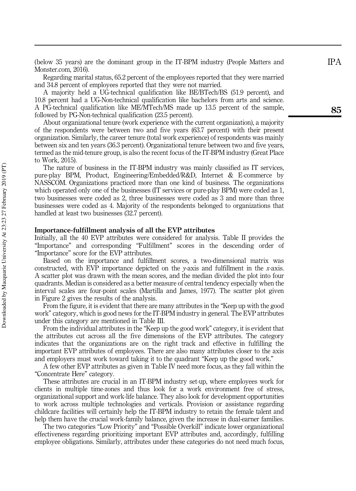(below 35 years) are the dominant group in the IT-BPM industry (People Matters and Monster.com, 2016).

Regarding marital status, 65.2 percent of the employees reported that they were married and 34.8 percent of employees reported that they were not married.

A majority held a UG-technical qualification like BE/BTech/BS (51.9 percent), and 10.8 percent had a UG-Non-technical qualification like bachelors from arts and science. A PG-technical qualification like ME/MTech/MS made up 13.5 percent of the sample, followed by PG-Non-technical qualification (23.5 percent).

About organizational tenure (work experience with the current organization), a majority of the respondents were between two and five years (63.7 percent) with their present organization. Similarly, the career tenure (total work experience) of respondents was mainly between six and ten years (36.3 percent). Organizational tenure between two and five years, termed as the mid-tenure group, is also the recent focus of the IT-BPM industry (Great Place to Work, 2015).

The nature of business in the IT-BPM industry was mainly classified as IT services, pure-play BPM, Product, Engineering/Embedded/R&D, Internet & E-commerce by NASSCOM. Organizations practiced more than one kind of business. The organizations which operated only one of the businesses (IT services or pure-play BPM) were coded as 1, two businesses were coded as 2, three businesses were coded as 3 and more than three businesses were coded as 4. Majority of the respondents belonged to organizations that handled at least two businesses (32.7 percent).

#### Importance-fulfillment analysis of all the EVP attributes

Initially, all the 40 EVP attributes were considered for analysis. Table II provides the "Importance" and corresponding "Fulfillment" scores in the descending order of "Importance" score for the EVP attributes.

Based on the importance and fulfillment scores, a two-dimensional matrix was constructed, with EVP importance depicted on the y-axis and fulfillment in the x-axis. A scatter plot was drawn with the mean scores, and the median divided the plot into four quadrants. Median is considered as a better measure of central tendency especially when the interval scales are four-point scales (Martilla and James, 1977). The scatter plot given in Figure 2 gives the results of the analysis.

From the figure, it is evident that there are many attributes in the "Keep up with the good work " category, which is good news for the IT-BPM industry in general. The EVP attributes under this category are mentioned in Table III.

From the individual attributes in the "Keep up the good work " category, it is evident that the attributes cut across all the five dimensions of the EVP attributes. The category indicates that the organizations are on the right track and effective in fulfilling the important EVP attributes of employees. There are also many attributes closer to the axis and employers must work toward taking it to the quadrant "Keep up the good work. "

A few other EVP attributes as given in Table IV need more focus, as they fall within the "Concentrate Here " category.

These attributes are crucial in an IT-BPM industry set-up, where employees work for clients in multiple time-zones and thus look for a work environment free of stress, organizational support and work-life balance. They also look for development opportunities to work across multiple technologies and verticals. Provision or assistance regarding childcare facilities will certainly help the IT-BPM industry to retain the female talent and help them have the crucial work-family balance, given the increase in dual-earner families.

The two categories "Low Priority " and "Possible Overkill " indicate lower organizational effectiveness regarding prioritizing important EVP attributes and, accordingly, fulfilling employee obligations. Similarly, attributes under these categories do not need much focus,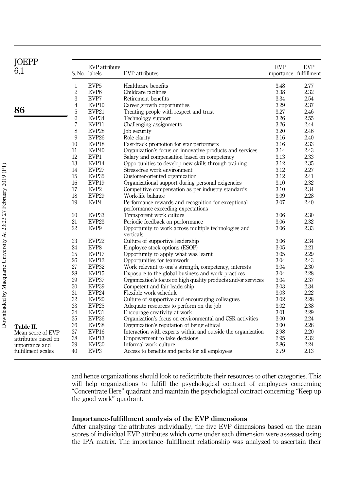| <b>JOEPP</b>        |                | EVP attribute     |                                                               | <b>EVP</b>             | <b>EVP</b> |
|---------------------|----------------|-------------------|---------------------------------------------------------------|------------------------|------------|
| 6,1                 |                | S. No. labels     | EVP attributes                                                | importance fulfillment |            |
|                     | $\mathbf{1}$   | EVP <sub>5</sub>  | Healthcare benefits                                           | 3.48                   | 2.77       |
|                     | $\overline{2}$ | EVP <sub>6</sub>  | Childcare facilities                                          | 3.38                   | 2.32       |
|                     | 3              | EVP7              | Retirement benefits                                           | 3.34                   | 2.54       |
|                     | 4              | EVP10             | Career growth opportunities                                   | 3.29                   | 2.37       |
| 86                  | 5              | EVP21             | Treating people with respect and trust                        | 3.27                   | 2.46       |
|                     | 6              | EVP34             | Technology support                                            | 3.26                   | 2.55       |
|                     | 7              | EVP11             | Challenging assignments                                       | 3.26                   | 2.44       |
|                     | 8              | EVP <sub>28</sub> | Job security                                                  | 3.20                   | 2.46       |
|                     | 9              | EVP <sub>26</sub> | Role clarity                                                  | 3.16                   | 2.40       |
|                     | 10             | EVP18             | Fast-track promotion for star performers                      | 3.16                   | 2.33       |
|                     | 11             | EVP40             | Organization's focus on innovative products and services      | 3.14                   | 2.43       |
|                     | 12             | EVP1              | Salary and compensation based on competency                   | 3.13                   | 2.33       |
|                     | 13             | EVP14             | Opportunities to develop new skills through training          | 3.12                   | 2.35       |
|                     | 14             | EVP27             | Stress-free work environment                                  | 3.12                   | 2.27       |
|                     | 15             | EVP35             | Customer-oriented organization                                | 3.12                   | 2.41       |
|                     | 16             | EVP19             | Organizational support during personal exigencies             | 3.10                   | 2.32       |
|                     | 17             | EVP <sub>2</sub>  | Competitive compensation as per industry standards            | 3.10                   | 2.34       |
|                     | 18             | EVP <sub>29</sub> | Work-life balance                                             | 3.09                   | 2.28       |
|                     | 19             | EVP4              | Performance rewards and recognition for exceptional           | 3.07                   | 2.40       |
|                     |                |                   | performance exceeding expectations                            |                        |            |
|                     | 20             | EVP33             | Transparent work culture                                      | 3.06                   | 2.30       |
|                     | 21             | EVP <sub>23</sub> | Periodic feedback on performance                              | 3.06                   | 2.32       |
|                     | 22             | EVP9              | Opportunity to work across multiple technologies and          | 3.06                   | 2.33       |
|                     |                |                   | verticals                                                     |                        |            |
|                     | 23             | EVP <sub>22</sub> | Culture of supportive leadership                              | 3.06                   | 2.34       |
|                     | 24             | EVP8              | Employee stock options (ESOP)                                 | 3.05                   | 2.21       |
|                     | 25             | EVP17             | Opportunity to apply what was learnt                          | 3.05                   | 2.29       |
|                     | 26             | EVP12             | Opportunities for teamwork                                    | 3.04                   | 2.43       |
|                     | 27             | EVP32             | Work relevant to one's strength, competency, interests        | 3.04                   | 2.30       |
|                     | 28             | EVP15             | Exposure to the global business and work practices            | 3.04                   | 2.28       |
|                     | 29             | EVP37             | Organization's focus on high quality products and/or services | 3.04                   | 2.37       |
|                     | 30             | EVP39             | Competent and fair leadership                                 | 3.03                   | 2.34       |
|                     | 31             | EVP <sub>24</sub> | Flexible work schedule                                        | 3.03                   | 2.22       |
|                     | 32             | EVP <sub>20</sub> | Culture of supportive and encouraging colleagues              | 3.02                   | 2.28       |
|                     | 33             | EVP <sub>25</sub> | Adequate resources to perform on the job                      | 3.02                   | 2.38       |
|                     | 34             | EVP31             | Encourage creativity at work                                  | 3.01                   | 2.29       |
|                     | 35             | EVP36             | Organization's focus on environmental and CSR activities      | 3.00                   | 2.24       |
| Table II.           | 36             | EVP38             | Organization's reputation of being ethical                    | 3.00                   | 2.28       |
| Mean score of EVP   | 37             | EVP16             | Interaction with experts within and outside the organization  | 2.98                   | 2.20       |
| attributes based on | 38             | EVP13             | Empowerment to take decisions                                 | 2.95                   | 2.32       |
| importance and      | 39             | EVP30             | Informal work culture                                         | 2.86                   | 2.24       |
| fulfillment scales  | 40             | EVP <sub>3</sub>  | Access to benefits and perks for all employees                | 2.79                   | 2.13       |

and hence organizations should look to redistribute their resources to other categories. This will help organizations to fulfill the psychological contract of employees concerning "Concentrate Here" quadrant and maintain the psychological contract concerning "Keep up the good work" quadrant.

#### Importance-fulfillment analysis of the EVP dimensions

After analyzing the attributes individually, the five EVP dimensions based on the mean scores of individual EVP attributes which come under each dimension were assessed using the IPA matrix. The importance–fulfillment relationship was analyzed to ascertain their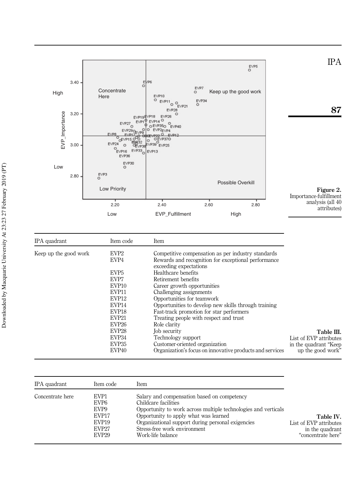

| IPA quadrant          | Item code         | Item                                                                          |                        |
|-----------------------|-------------------|-------------------------------------------------------------------------------|------------------------|
| Keep up the good work | EVP <sub>2</sub>  | Competitive compensation as per industry standards                            |                        |
|                       | EVP4              | Rewards and recognition for exceptional performance<br>exceeding expectations |                        |
|                       | EVP <sub>5</sub>  | Healthcare benefits                                                           |                        |
|                       | EVP7              | Retirement benefits                                                           |                        |
|                       | EVP <sub>10</sub> | Career growth opportunities                                                   |                        |
|                       | EVP11             | Challenging assignments                                                       |                        |
|                       | EVP <sub>12</sub> | Opportunities for teamwork                                                    |                        |
|                       | EVP <sub>14</sub> | Opportunities to develop new skills through training                          |                        |
|                       | EVP <sub>18</sub> | Fast-track promotion for star performers                                      |                        |
|                       | EVP21             | Treating people with respect and trust                                        |                        |
|                       | EVP <sub>26</sub> | Role clarity                                                                  |                        |
|                       | EVP <sub>28</sub> | Job security                                                                  | Table III.             |
|                       | EVP34             | Technology support                                                            | List of EVP attributes |
|                       | EVP <sub>35</sub> | Customer-oriented organization                                                | in the quadrant "Keep" |
|                       | EVP <sub>40</sub> | Organization's focus on innovative products and services                      | up the good work"      |

| IPA quadrant     | Item code                                                                                                            | Item                                                                                                                                                                                                                                                                                     |                                                                              |
|------------------|----------------------------------------------------------------------------------------------------------------------|------------------------------------------------------------------------------------------------------------------------------------------------------------------------------------------------------------------------------------------------------------------------------------------|------------------------------------------------------------------------------|
| Concentrate here | EVP1<br>EVP <sub>6</sub><br>EVP <sub>9</sub><br>EVP17<br>EVP <sub>19</sub><br>EVP <sub>27</sub><br>EVP <sub>29</sub> | Salary and compensation based on competency<br>Childcare facilities<br>Opportunity to work across multiple technologies and verticals<br>Opportunity to apply what was learned<br>Organizational support during personal exigencies<br>Stress-free work environment<br>Work-life balance | Table IV.<br>List of EVP attributes<br>in the quadrant<br>"concentrate here" |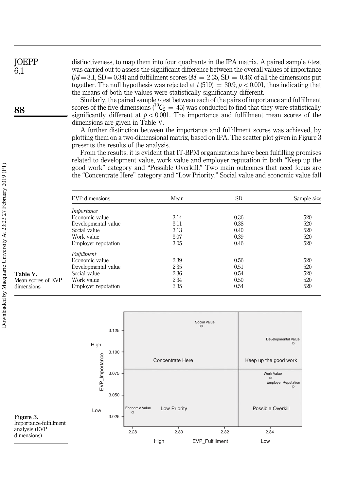JOEPP 6,1

88

distinctiveness, to map them into four quadrants in the IPA matrix. A paired sample t-test was carried out to assess the significant difference between the overall values of importance  $(M = 3.1, SD = 0.34)$  and fulfillment scores  $(M = 2.35, SD = 0.46)$  of all the dimensions put together. The null hypothesis was rejected at  $t(519) = 30.9, p < 0.001$ , thus indicating that the means of both the values were statistically significantly different.

Similarly, the paired sample t-test between each of the pairs of importance and fulfillment scores of the five dimensions ( ${}^{10}C_2 = 45$ ) was conducted to find that they were statistically significantly different at  $p < 0.001$ . The importance and fulfillment mean scores of the dimensions are given in Table V.

A further distinction between the importance and fulfillment scores was achieved, by plotting them on a two-dimensional matrix, based on IPA. The scatter plot given in Figure 3 presents the results of the analysis.

From the results, it is evident that IT-BPM organizations have been fulfilling promises related to development value, work value and employer reputation in both "Keep up the good work" category and "Possible Overkill." Two main outcomes that need focus are the "Concentrate Here" category and "Low Priority." Social value and economic value fall

| EVP dimensions      | Mean | SD.  | Sample size |
|---------------------|------|------|-------------|
| Importance          |      |      |             |
| Economic value      | 3.14 | 0.36 | 520         |
| Developmental value | 3.11 | 0.38 | 520         |
| Social value        | 3.13 | 0.40 | 520         |
| Work value          | 3.07 | 0.39 | 520         |
| Employer reputation | 3.05 | 0.46 | 520         |
| Fulfillment         |      |      |             |
| Economic value      | 2.39 | 0.56 | 520         |
| Developmental value | 2.35 | 0.51 | 520         |
| Social value        | 2.36 | 0.54 | 520         |
| Work value          | 2.34 | 0.50 | 520         |
| Employer reputation | 2.35 | 0.54 | 520         |
|                     |      |      |             |



Table V. Mean scores of EVP dimensions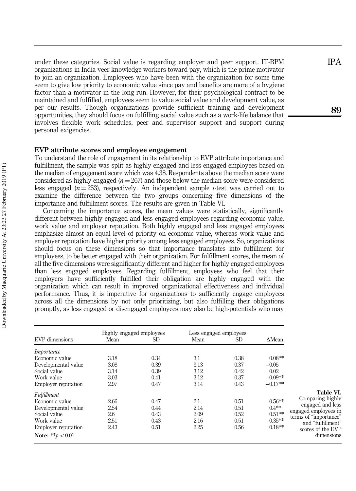under these categories. Social value is regarding employer and peer support. IT-BPM organizations in India veer knowledge workers toward pay, which is the prime motivator to join an organization. Employees who have been with the organization for some time seem to give low priority to economic value since pay and benefits are more of a hygiene factor than a motivator in the long run. However, for their psychological contract to be maintained and fulfilled, employees seem to value social value and development value, as per our results. Though organizations provide sufficient training and development opportunities, they should focus on fulfilling social value such as a work-life balance that involves flexible work schedules, peer and supervisor support and support during personal exigencies.

#### EVP attribute scores and employee engagement

To understand the role of engagement in its relationship to EVP attribute importance and fulfillment, the sample was split as highly engaged and less engaged employees based on the median of engagement score which was 4.38. Respondents above the median score were considered as highly engaged ( $n = 267$ ) and those below the median score were considered less engaged ( $n = 253$ ), respectively. An independent sample t-test was carried out to examine the difference between the two groups concerning five dimensions of the importance and fulfillment scores. The results are given in Table VI.

Concerning the importance scores, the mean values were statistically, significantly different between highly engaged and less engaged employees regarding economic value, work value and employer reputation. Both highly engaged and less engaged employees emphasize almost an equal level of priority on economic value, whereas work value and employer reputation have higher priority among less engaged employees. So, organizations should focus on these dimensions so that importance translates into fulfillment for employees, to be better engaged with their organization. For fulfillment scores, the mean of all the five dimensions were significantly different and higher for highly engaged employees than less engaged employees. Regarding fulfillment, employees who feel that their employers have sufficiently fulfilled their obligation are highly engaged with the organization which can result in improved organizational effectiveness and individual performance. Thus, it is imperative for organizations to sufficiently engage employees across all the dimensions by not only prioritizing, but also fulfilling their obligations promptly, as less engaged or disengaged employees may also be high-potentials who may

| <b>EVP</b> dimensions                                                                                                                          | Highly engaged employees<br>SD<br>Mean |                                      | Less engaged employees<br>SD.<br>Mean |                                      | $\Delta$ Mean                                            |                                                                                                                                                            |
|------------------------------------------------------------------------------------------------------------------------------------------------|----------------------------------------|--------------------------------------|---------------------------------------|--------------------------------------|----------------------------------------------------------|------------------------------------------------------------------------------------------------------------------------------------------------------------|
| Importance<br>Economic value<br>Developmental value<br>Social value<br>Work value<br><b>Employer reputation</b>                                | 3.18<br>3.08<br>3.14<br>3.03<br>2.97   | 0.34<br>0.39<br>0.39<br>0.41<br>0.47 | 3.1<br>3.13<br>3.12<br>3.12<br>3.14   | 0.38<br>0.37<br>0.42<br>0.37<br>0.43 | $0.08**$<br>$-0.05$<br>0.02<br>$-0.09**$<br>$-0.17**$    |                                                                                                                                                            |
| Fulfillment<br>Economic value<br>Developmental value<br>Social value<br>Work value<br><b>Employer reputation</b><br><b>Note:</b> ** $b < 0.01$ | 2.66<br>2.54<br>2.6<br>2.51<br>2.43    | 0.47<br>0.44<br>0.43<br>0.43<br>0.51 | 2.1<br>2.14<br>2.09<br>2.16<br>2.25   | 0.51<br>0.51<br>0.52<br>0.51<br>0.56 | $0.56**$<br>$0.4**$<br>$0.51**$<br>$0.35***$<br>$0.18**$ | Table VI.<br>Comparing highly<br>engaged and less<br>engaged employees in<br>terms of "importance"<br>and "fulfillment"<br>scores of the EVP<br>dimensions |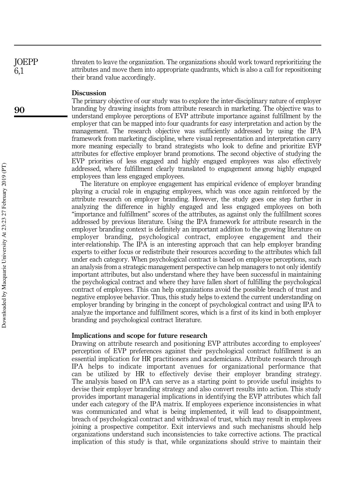threaten to leave the organization. The organizations should work toward reprioritizing the attributes and move them into appropriate quadrants, which is also a call for repositioning their brand value accordingly. **JOEPP** 

#### Discussion

The primary objective of our study was to explore the inter-disciplinary nature of employer branding by drawing insights from attribute research in marketing. The objective was to understand employee perceptions of EVP attribute importance against fulfillment by the employer that can be mapped into four quadrants for easy interpretation and action by the management. The research objective was sufficiently addressed by using the IPA framework from marketing discipline, where visual representation and interpretation carry more meaning especially to brand strategists who look to define and prioritize EVP attributes for effective employer brand promotions. The second objective of studying the EVP priorities of less engaged and highly engaged employees was also effectively addressed, where fulfillment clearly translated to engagement among highly engaged employees than less engaged employees.

The literature on employee engagement has empirical evidence of employer branding playing a crucial role in engaging employees, which was once again reinforced by the attribute research on employer branding. However, the study goes one step further in analyzing the difference in highly engaged and less engaged employees on both "importance and fulfillment" scores of the attributes, as against only the fulfillment scores addressed by previous literature. Using the IPA framework for attribute research in the employer branding context is definitely an important addition to the growing literature on employer branding, psychological contract, employee engagement and their inter-relationship. The IPA is an interesting approach that can help employer branding experts to either focus or redistribute their resources according to the attributes which fall under each category. When psychological contract is based on employee perceptions, such an analysis from a strategic management perspective can help managers to not only identify important attributes, but also understand where they have been successful in maintaining the psychological contract and where they have fallen short of fulfilling the psychological contract of employees. This can help organizations avoid the possible breach of trust and negative employee behavior. Thus, this study helps to extend the current understanding on employer branding by bringing in the concept of psychological contract and using IPA to analyze the importance and fulfillment scores, which is a first of its kind in both employer branding and psychological contract literature.

#### Implications and scope for future research

Drawing on attribute research and positioning EVP attributes according to employees' perception of EVP preferences against their psychological contract fulfillment is an essential implication for HR practitioners and academicians. Attribute research through IPA helps to indicate important avenues for organizational performance that can be utilized by HR to effectively devise their employer branding strategy. The analysis based on IPA can serve as a starting point to provide useful insights to devise their employer branding strategy and also convert results into action. This study provides important managerial implications in identifying the EVP attributes which fall under each category of the IPA matrix. If employees experience inconsistencies in what was communicated and what is being implemented, it will lead to disappointment, breach of psychological contract and withdrawal of trust, which may result in employees joining a prospective competitor. Exit interviews and such mechanisms should help organizations understand such inconsistencies to take corrective actions. The practical implication of this study is that, while organizations should strive to maintain their

6,1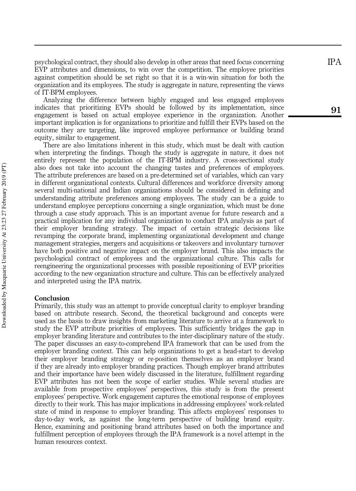psychological contract, they should also develop in other areas that need focus concerning EVP attributes and dimensions, to win over the competition. The employee priorities against competition should be set right so that it is a win-win situation for both the organization and its employees. The study is aggregate in nature, representing the views of IT-BPM employees.

Analyzing the difference between highly engaged and less engaged employees indicates that prioritizing EVPs should be followed by its implementation, since engagement is based on actual employee experience in the organization. Another important implication is for organizations to prioritize and fulfill their EVPs based on the outcome they are targeting, like improved employee performance or building brand equity, similar to engagement.

There are also limitations inherent in this study, which must be dealt with caution when interpreting the findings. Though the study is aggregate in nature, it does not entirely represent the population of the IT-BPM industry. A cross-sectional study also does not take into account the changing tastes and preferences of employees. The attribute preferences are based on a pre-determined set of variables, which can vary in different organizational contexts. Cultural differences and workforce diversity among several multi-national and Indian organizations should be considered in defining and understanding attribute preferences among employees. The study can be a guide to understand employee perceptions concerning a single organization, which must be done through a case study approach. This is an important avenue for future research and a practical implication for any individual organization to conduct IPA analysis as part of their employer branding strategy. The impact of certain strategic decisions like revamping the corporate brand, implementing organizational development and change management strategies, mergers and acquisitions or takeovers and involuntary turnover have both positive and negative impact on the employer brand. This also impacts the psychological contract of employees and the organizational culture. This calls for reengineering the organizational processes with possible repositioning of EVP priorities according to the new organization structure and culture. This can be effectively analyzed and interpreted using the IPA matrix.

#### Conclusion

Primarily, this study was an attempt to provide conceptual clarity to employer branding based on attribute research. Second, the theoretical background and concepts were used as the basis to draw insights from marketing literature to arrive at a framework to study the EVP attribute priorities of employees. This sufficiently bridges the gap in employer branding literature and contributes to the inter-disciplinary nature of the study. The paper discusses an easy-to-comprehend IPA framework that can be used from the employer branding context. This can help organizations to get a head-start to develop their employer branding strategy or re-position themselves as an employer brand if they are already into employer branding practices. Though employer brand attributes and their importance have been widely discussed in the literature, fulfillment regarding EVP attributes has not been the scope of earlier studies. While several studies are available from prospective employees ' perspectives, this study is from the present employees ' perspective. Work engagement captures the emotional response of employees directly to their work. This has major implications in addressing employees ' work-related state of mind in response to employer branding. This affects employees ' responses to day-to-day work, as against the long-term perspective of building brand equity. Hence, examining and positioning brand attributes based on both the importance and fulfillment perception of employees through the IPA framework is a novel attempt in the human resources context.

91

Downloaded by Macquarie University At 23:23 27 February 2019 (PT) Downloaded by Macquarie University At 23:23 27 February 2019 (PT)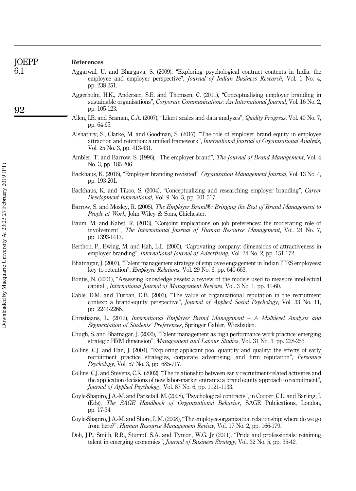| <b>JOEPP</b> | References                                                                                                                                                                                                                                                                     |
|--------------|--------------------------------------------------------------------------------------------------------------------------------------------------------------------------------------------------------------------------------------------------------------------------------|
| 6,1          | Aggarwal, U. and Bhargava, S. (2009), "Exploring psychological contract contents in India: the<br>employee and employer perspective", Journal of Indian Business Research, Vol. 1 No. 4,<br>pp. 238-251.                                                                       |
| 92           | Aggerholm, H.K., Andersen, S.E. and Thomsen, C. (2011), "Conceptualising employer branding in<br>sustainable organisations", Corporate Communications: An International Journal, Vol. 16 No. 2,<br>pp. 105-123.                                                                |
|              | Allen, I.E. and Seaman, C.A. (2007), "Likert scales and data analyzes", Quality Progress, Vol. 40 No. 7,<br>pp. 64-65.                                                                                                                                                         |
|              | Alshathry, S., Clarke, M. and Goodman, S. (2017), "The role of employer brand equity in employee<br>attraction and retention: a unified framework", International Journal of Organizational Analysis,<br>Vol. 25 No. 3, pp. 413-431.                                           |
|              | Ambler, T. and Barrow, S. (1996), "The employer brand", <i>The Journal of Brand Management</i> , Vol. 4<br>No. 3, pp. 185-206.                                                                                                                                                 |
|              | Backhaus, K. (2016), "Employer branding revisited", Organization Management Journal, Vol. 13 No. 4,<br>pp. 193-201.                                                                                                                                                            |
|              | Backhaus, K. and Tikoo, S. (2004), "Conceptualizing and researching employer branding", Career<br>Development International, Vol. 9 No. 5, pp. 501-517.                                                                                                                        |
|              | Barrow, S. and Mosley, R. (2005), The Employer Brand®: Bringing the Best of Brand Management to<br>People at Work, John Wiley & Sons, Chichester.                                                                                                                              |
|              | Baum, M. and Kabst, R. (2013), "Conjoint implications on job preferences: the moderating role of<br>involvement", The International Journal of Human Resource Management, Vol. 24 No. 7,<br>pp. 1393-1417.                                                                     |
|              | Berthon, P., Ewing, M. and Hah, L.L. (2005), "Captivating company: dimensions of attractiveness in<br>employer branding", <i>International Journal of Advertising</i> , Vol. 24 No. 2, pp. 151-172.                                                                            |
|              | Bhatnagar, J. (2007), "Talent management strategy of employee engagement in Indian ITES employees:<br>key to retention", <i>Employee Relations</i> , Vol. 29 No. 6, pp. 640-663.                                                                                               |
|              | Bontis, N. (2001), "Assessing knowledge assets: a review of the models used to measure intellectual<br>capital", International Journal of Management Reviews, Vol. 3 No. 1, pp. 41-60.                                                                                         |
|              | Cable, D.M. and Turban, D.B. (2003), "The value of organizational reputation in the recruitment<br>context: a brand-equity perspective", <i>Journal of Applied Social Psychology</i> , Vol. 33 No. 11,<br>pp. 2244-2266.                                                       |
|              | Christiaans, L. (2012), International Employer Brand Management $- A$ Multilevel Analysis and<br>Segmentation of Students' Preferences, Springer Gabler, Wiesbaden.                                                                                                            |
|              | Chugh, S. and Bhatnagar, J. (2006), "Talent management as high performance work practice: emerging<br>strategic HRM dimension", Management and Labour Studies, Vol. 31 No. 3, pp. 228-253.                                                                                     |
|              | Collins, C.J. and Han, J. (2004), "Exploring applicant pool quantity and quality: the effects of early<br>recruitment practice strategies, corporate advertising, and firm reputation", Personnel<br>Psychology, Vol. 57 No. 3, pp. 685-717.                                   |
|              | Collins, C.J. and Stevens, C.K. (2002), "The relationship between early recruitment-related activities and<br>the application decisions of new labor-market entrants: a brand equity approach to recruitment",<br>Journal of Applied Psychology, Vol. 87 No. 6, pp. 1121-1133. |
|              | Coyle-Shapiro, J.A.-M. and Parzefall, M. (2008), "Psychological contracts", in Cooper, C.L. and Barling, J.<br>(Eds), The SAGE Handbook of Organizational Behavior, SAGE Publications, London,<br>pp. 17-34.                                                                   |
|              | Coyle-Shapiro, J.A.-M. and Shore, L.M. (2008), "The employee-organization relationship: where do we go<br>from here?", <i>Human Resource Management Review</i> , Vol. 17 No. 2, pp. 166-179.                                                                                   |
|              | Doh, J.P., Smith, R.R., Stumpf, S.A. and Tymon, W.G. Jr (2011), "Pride and professionals: retaining<br>talent in emerging economies", <i>Journal of Business Strategy</i> , Vol. 32 No. 5, pp. 35-42.                                                                          |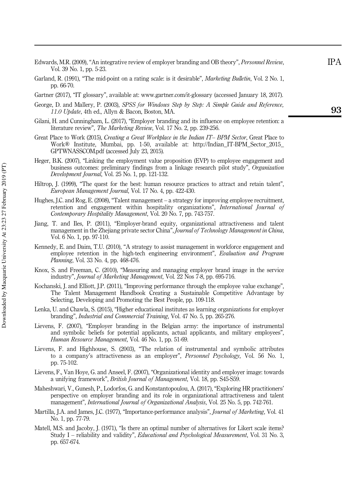- Edwards, M.R. (2009), "An integrative review of employer branding and OB theory", Personnel Review , Vol. 39 No. 1, pp. 5-23.
- Garland, R. (1991), "The mid-point on a rating scale: is it desirable", Marketing Bulletin, Vol. 2 No. 1, pp. 66-70.
- Gartner (2017), "IT glossary ", available at: www.gartner.com/it-glossary (accessed January 18, 2017).
- George, D. and Mallery, P. (2003), SPSS for Windows Step by Step: A Simple Guide and Reference, 11.0 Update, 4th ed., Allyn & Bacon, Boston, MA.
- Gilani, H. and Cunningham, L. (2017), "Employer branding and its influence on employee retention: a literature review", The Marketing Review, Vol. 17 No. 2, pp. 239-256.
- Great Place to Work (2015), Creating a Great Workplace in the Indian IT– BPM Sector, Great Place to Work® Institute, Mumbai, pp. 1-50, available at: http://Indian\_IT-BPM\_Sector\_2015\_ GPTWNASSCOM.pdf (accessed July 23, 2015).
- Heger, B.K. (2007), "Linking the employment value proposition (EVP) to employee engagement and business outcomes: preliminary findings from a linkage research pilot study", Organization Development Journal, Vol. 25 No. 1, pp. 121-132.
- Hiltrop, J. (1999), "The quest for the best: human resource practices to attract and retain talent " .<br>י European Management Journal, Vol. 17 No. 4, pp. 422-430.
- Hughes, J.C. and Rog, E. (2008), "Talent management a strategy for improving employee recruitment, retention and engagement within hospitality organizations", International Journal of Contemporary Hospitality Management, Vol. 20 No. 7, pp. 743-757.
- Jiang, T. and Iles, P. (2011), "Employer-brand equity, organizational attractiveness and talent management in the Zhejiang private sector China", Journal of Technology Management in China .<br>ו Vol. 6 No. 1, pp. 97-110.
- Kennedy, E. and Daim, T.U. (2010), "A strategy to assist management in workforce engagement and employee retention in the high-tech engineering environment", Evaluation and Program Planning, Vol. 33 No. 4, pp. 468-476.
- Knox, S. and Freeman, C. (2010), "Measuring and managing employer brand image in the service industry", Journal of Marketing Management, Vol. 22 Nos 7-8, pp. 695-716.
- Kochanski, J. and Elliott, J.P. (2011), "Improving performance through the employee value exchange " .<br>; The Talent Management Handbook Creating a Sustainable Competitive Advantage by Selecting, Developing and Promoting the Best People, pp. 109-118.
- Lenka, U. and Chawla, S. (2015), "Higher educational institutes as learning organizations for employer branding", Industrial and Commercial Training, Vol. 47 No. 5, pp. 265-276.
- Lievens, F. (2007), "Employer branding in the Belgian army: the importance of instrumental and symbolic beliefs for potential applicants, actual applicants, and military employees " .<br>; Human Resource Management, Vol. 46 No. 1, pp. 51-69.
- Lievens, F. and Highhouse, S. (2003), "The relation of instrumental and symbolic attributes to a company's attractiveness as an employer", Personnel Psychology, Vol. 56 No. 1, pp. 75-102.
- Lievens, F., Van Hoye, G. and Anseel, F. (2007), "Organizational identity and employer image: towards a unifying framework", British Journal of Management, Vol. 18, pp. S45-S59.
- Maheshwari, V., Gunesh, P., Lodorfos, G. and Konstantopoulou, A. (2017), "Exploring HR practitioners ' perspective on employer branding and its role in organizational attractiveness and talent nanagement", *International Journal of Organizational Analysis*, Vol. 25 No. 5, pp. 742-761.
- Martilla, J.A. and James, J.C. (1977), "Importance-performance analysis", Journal of Marketing, Vol. 41 No. 1, pp. 77-79.
- Matell, M.S. and Jacoby, J. (1971), "Is there an optimal number of alternatives for Likert scale items? Study I - reliability and validity", Educational and Psychological Measurement, Vol. 31 No. 3, pp. 657-674.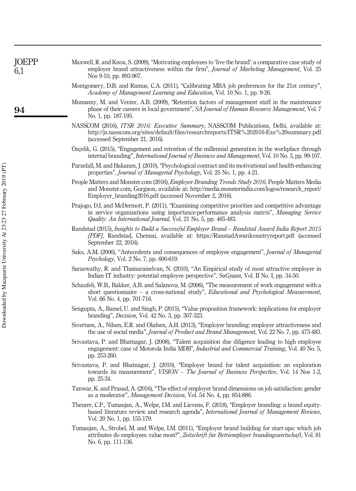| JOEPP<br>6,1 | Maxwell, R. and Knox, S. (2009), "Motivating employees to 'live the brand': a comparative case study of<br>employer brand attractiveness within the firm", Journal of Marketing Management, Vol. 25<br>Nos 9-10, pp. 893-907.                                      |
|--------------|--------------------------------------------------------------------------------------------------------------------------------------------------------------------------------------------------------------------------------------------------------------------|
|              | Montgomery, D.B. and Ramus, C.A. (2011), "Calibrating MBA job preferences for the 21st century",<br>Academy of Management Learning and Education, Vol. 10 No. 1, pp. 9-26.                                                                                         |
| 94           | Munsamy, M. and Venter, A.B. (2009), "Retention factors of management staff in the maintenance<br>phase of their careers in local government", SA Journal of Human Resource Management, Vol. 7<br>No. 1, pp. 187-195.                                              |
|              | NASSCOM (2016), <i>ITSR 2016: Executive Summary</i> , NASSCOM Publications, Delhi, available at:<br>http://js.nasscom.org/sites/default/files/researchreports/ITSR%202016-Exe%20summary.pdf<br>(accessed September 21, 2016).                                      |
|              | Ozçelik, G. (2015), "Engagement and retention of the millennial generation in the workplace through<br>internal branding", <i>International Journal of Business and Management</i> , Vol. 10 No. 3, pp. 99-107.                                                    |
|              | Parzefall, M. and Hakanen, J. (2010), "Psychological contract and its motivational and health-enhancing<br>properties", <i>Journal of Managerial Psychology</i> , Vol. 25 No. 1, pp. 4-21.                                                                         |
|              | People Matters and Monster.com (2016), <i>Employer Branding Trends Study 2016</i> , People Matters Media<br>and Monster.com, Gurgaon, available at: http://media.monsterindia.com/logos/research_report/<br>Employer_branding2016.pdf (accessed November 2, 2016). |
|              | Prajogo, D.I. and McDermott, P. (2011), "Examining competitive priorities and competitive advantage<br>in service organizations using importance-performance analysis matrix", Managing Service<br>Quality: An International Journal, Vol. 21 No. 5, pp. 465-483.  |
|              | Randstad (2015), Insights to Build a Successful Employer Brand - Randstad Award India Report 2015<br>[PDF], Randstad, Chennai, available at: https://RanstadAwardcountryreport.pdf (accessed<br>September 22, 2016).                                               |
|              | Saks, A.M. (2006), "Antecedents and consequences of employee engagement", Journal of Managerial<br><i>Psychology</i> , Vol. 2 No. 7, pp. 600-619.                                                                                                                  |
|              | Saraswathy, R. and Thamaraiselvan, N. (2010), "An Empirical study of most attractive employer in<br>Indian IT industry: potential employee perspective", SuGyaan, Vol. II No. I, pp. 34-50.                                                                        |
|              | Schaufeli, W.B., Bakker, A.B. and Salanova, M. (2006), "The measurement of work engagement with a<br>short questionnaire - a cross-national study", Educational and Psychological Measurement,<br>Vol. 66 No. 4, pp. 701-716.                                      |
|              | Sengupta, A., Bamel, U. and Singh, P. (2015), "Value proposition framework: implications for employer<br>branding", <i>Decision</i> , Vol. 42 No. 3, pp. 307-323.                                                                                                  |
|              | Sivertzen, A., Nilsen, E.R. and Olafsen, A.H. (2013), "Employer branding: employer attractiveness and<br>the use of social media", <i>Journal of Product and Brand Management</i> , Vol. 22 No. 7, pp. 473-483.                                                    |
|              | Srivastava, P. and Bhatnagar, J. (2008), "Talent acquisition due diligence leading to high employee<br>engagement: case of Motorola India MDB", <i>Industrial and Commercial Training</i> , Vol. 40 No. 5,<br>pp. 253-260.                                         |
|              | Srivastava, P. and Bhatnagar, J. (2010), "Employer brand for talent acquisition: an exploration<br>towards its measurement", VISION - The Journal of Business Perspective, Vol. 14 Nos 1-2,<br>pp. 25-34.                                                          |
|              | Tanwar, K. and Prasad, A. (2016), "The effect of employer brand dimensions on job satisfaction: gender<br>as a moderator", <i>Management Decision</i> , Vol. 54 No. 4, pp. 854-886.                                                                                |
|              | Theurer, C.P., Tumasjan, A., Welpe, I.M. and Lievens, F. (2018), "Employer branding: a brand equity-<br>based literature review and research agenda", International Journal of Management Reviews,<br>Vol. 20 No. 1, pp. 155-179.                                  |
|              | Tumasjan, A., Strobel, M. and Welpe, I.M. (2011), "Employer brand building for start-ups: which job<br>attributes do employees value most?", Zeitschrift für Betriemployer brandingswirtschaft, Vol. 81<br>No. 6, pp. 111-136.                                     |